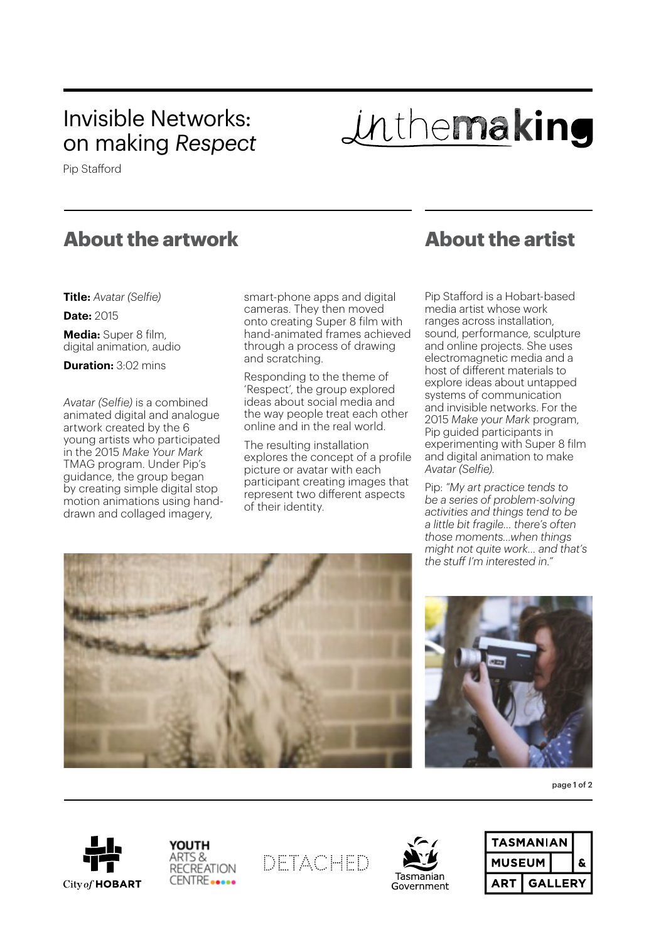## Invisible Networks: on making *Respect*

Inthemaking

Pip Stafford

## **About the artwork**

**Title:** *Avatar (Selfie)*

**Date:** 2015

**Media:** Super 8 film, digital animation, audio

**Duration:** 3:02 mins

*Avatar (Selfie)* is a combined animated digital and analogue artwork created by the 6 young artists who participated in the 2015 *Make Your Mark* TMAG program. Under Pip's guidance, the group began by creating simple digital stop motion animations using handdrawn and collaged imagery,

smart-phone apps and digital cameras. They then moved onto creating Super 8 film with hand-animated frames achieved through a process of drawing and scratching.

Responding to the theme of 'Respect', the group explored ideas about social media and the way people treat each other online and in the real world.

The resulting installation explores the concept of a profile picture or avatar with each participant creating images that represent two different aspects of their identity.

## **About the artist**

Pip Stafford is a Hobart-based media artist whose work ranges across installation, sound, performance, sculpture and online projects. She uses electromagnetic media and a host of different materials to explore ideas about untapped systems of communication and invisible networks. For the 2015 *Make your Mark* program, Pip guided participants in experimenting with Super 8 film and digital animation to make *Avatar (Selfie)*.

Pip: *"My art practice tends to be a series of problem-solving activities and things tend to be a little bit fragile… there's often those moments…when things might not quite work… and that's the stuff I'm interested in."*





page 1 of 2





DETACHED